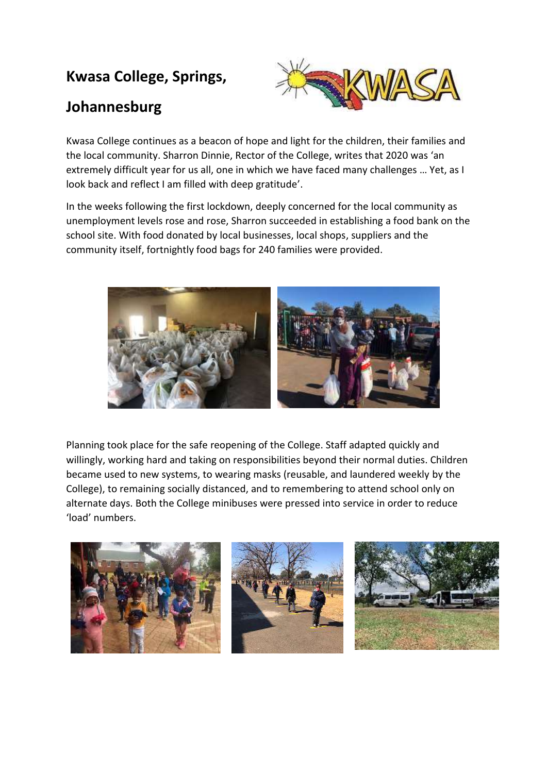## **Kwasa College, Springs,**

## **Johannesburg**



Kwasa College continues as a beacon of hope and light for the children, their families and the local community. Sharron Dinnie, Rector of the College, writes that 2020 was 'an extremely difficult year for us all, one in which we have faced many challenges … Yet, as I look back and reflect I am filled with deep gratitude'.

In the weeks following the first lockdown, deeply concerned for the local community as unemployment levels rose and rose, Sharron succeeded in establishing a food bank on the school site. With food donated by local businesses, local shops, suppliers and the community itself, fortnightly food bags for 240 families were provided.



Planning took place for the safe reopening of the College. Staff adapted quickly and willingly, working hard and taking on responsibilities beyond their normal duties. Children became used to new systems, to wearing masks (reusable, and laundered weekly by the College), to remaining socially distanced, and to remembering to attend school only on alternate days. Both the College minibuses were pressed into service in order to reduce 'load' numbers.